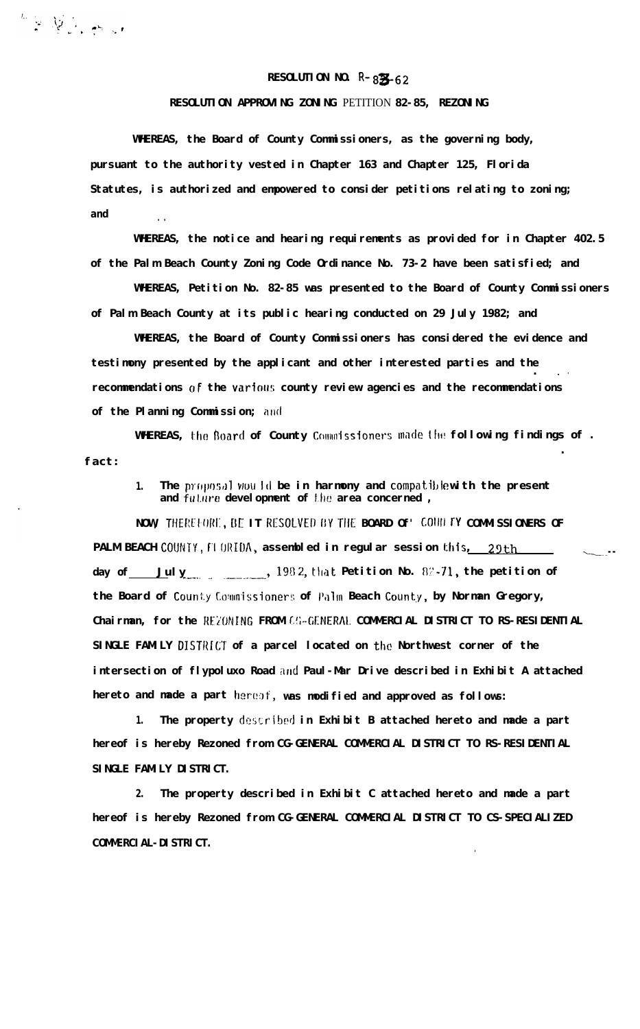## **RESOLUTION NO.**  $R - 82/62$

**RESOLUTION APPROVING ZONING** PETITION **82-85, REZONING**

**WHEREAS, the Board of County Commissioners, as the governing body, pursuant to the authority vested in Chapter 163 and Chapter 125, Florida Statutes, is authorized and empowered to consider petitions relating to zoning; and . .**

**WHEREAS, the notice and hearing requirements as provided for in Chapter 402.5 of the Palm Beach County Zoning Code Ordinance No. 73-2 have been satisfied; and**

**WHEREAS, Petition No. 82-85 was presented to the Board of County Commissioners of Palm Beach County at its public hearing conducted on 29 July 1982; and**

**WHEREAS, the Board of County Commissioners has considered the evidence and testimony presented by the applicant and other interested parties and the . .'** recommendations of the various county review agencies and the recommendations of the Planning Commission; and

WHEREAS, the Board of County Commissioners made the following findings of. **fact: .**

1. The proposal would be in harmony and compatiblewith the present and future development of the area concerned,

NOW, THEREFORE, BE IT RESOLVED BY THE BOARD Of' COULTY COMMISSIONERS OF **PALM BEACH** COUNTY, FI ORIDA, assembled in regular session this, 29th **day of July** 1982, that **Petition No.** 82.71, the petition of the Board of County Commissioners of Palm Beach County, by Norman Gregory, **Chairman, for the REZONING FROM CG-GENERAL COMMERCIAL DISTRICT TO RS-RESIDENTIAL SINGLE FAMILY DISTRICT of a parcel located on the Northwest corner of the** intersection of flypoluxo Road and Paul-Mar Drive described in Exhibit A attached **hereto and made a part hero:)t:, was modified and approved as follows:**

**1. The property described in Exhibit B attached hereto and made a part hereof is hereby Rezoned from CG-GENERAL COMMERCIAL DISTRICT TO RS-RESIDENTIAL SINGLE FAMILY DISTRICT.**

**2. The property described in Exhibit C attached hereto and made a part** hereof is hereby Rezoned from CG-GENERAL COMMERCIAL DISTRICT TO CS-SPECIALIZED **COMMERCIAL-DISTRICT.**

**.**